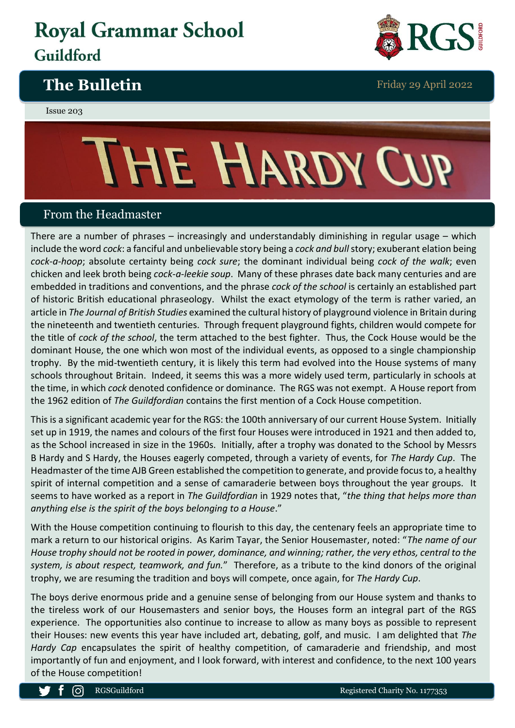## **Royal Grammar School** Guildford









## From the Headmaster

There are a number of phrases – increasingly and understandably diminishing in regular usage – which include the word *cock*: a fanciful and unbelievable story being a *cock and bull*story; exuberant elation being *cock-a-hoop*; absolute certainty being *cock sure*; the dominant individual being *cock of the walk*; even chicken and leek broth being *cock-a-leekie soup*. Many of these phrases date back many centuries and are embedded in traditions and conventions, and the phrase *cock of the school* is certainly an established part of historic British educational phraseology. Whilst the exact etymology of the term is rather varied, an article in *The Journal of British Studies* examined the cultural history of playground violence in Britain during the nineteenth and twentieth centuries. Through frequent playground fights, children would compete for the title of *cock of the school*, the term attached to the best fighter. Thus, the Cock House would be the dominant House, the one which won most of the individual events, as opposed to a single championship trophy. By the mid-twentieth century, it is likely this term had evolved into the House systems of many schools throughout Britain. Indeed, it seems this was a more widely used term, particularly in schools at the time, in which *cock* denoted confidence or dominance. The RGS was not exempt. A House report from the 1962 edition of *The Guildfordian* contains the first mention of a Cock House competition.

This is a significant academic year for the RGS: the 100th anniversary of our current House System. Initially set up in 1919, the names and colours of the first four Houses were introduced in 1921 and then added to, as the School increased in size in the 1960s. Initially, after a trophy was donated to the School by Messrs B Hardy and S Hardy, the Houses eagerly competed, through a variety of events, for *The Hardy Cup*. The Headmaster of the time AJB Green established the competition to generate, and provide focus to, a healthy spirit of internal competition and a sense of camaraderie between boys throughout the year groups. It seems to have worked as a report in *The Guildfordian* in 1929 notes that, "*the thing that helps more than anything else is the spirit of the boys belonging to a House*."

With the House competition continuing to flourish to this day, the centenary feels an appropriate time to mark a return to our historical origins. As Karim Tayar, the Senior Housemaster, noted: "*The name of our House trophy should not be rooted in power, dominance, and winning; rather, the very ethos, central to the system, is about respect, teamwork, and fun.*"Therefore, as a tribute to the kind donors of the original trophy, we are resuming the tradition and boys will compete, once again, for *The Hardy Cup*.

The boys derive enormous pride and a genuine sense of belonging from our House system and thanks to the tireless work of our Housemasters and senior boys, the Houses form an integral part of the RGS experience. The opportunities also continue to increase to allow as many boys as possible to represent their Houses: new events this year have included art, debating, golf, and music. I am delighted that *The Hardy Cap* encapsulates the spirit of healthy competition, of camaraderie and friendship, and most importantly of fun and enjoyment, and I look forward, with interest and confidence, to the next 100 years of the House competition!